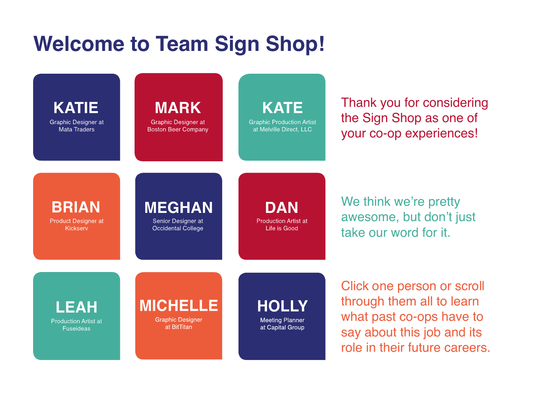# **Welcome to Team Sign Shop!**

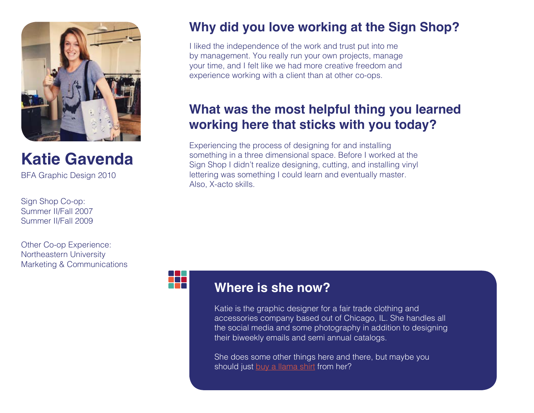

**Katie Gavenda**

BFA Graphic Design 2010

Sign Shop Co-op: Summer II/Fall 2007 Summer II/Fall 2009

Other Co-op Experience: Northeastern University Marketing & Communications

## **Why did you love working at the Sign Shop?**

I liked the independence of the work and trust put into me by management. You really run your own projects, manage your time, and I felt like we had more creative freedom and experience working with a client than at other co-ops.

## **What was the most helpful thing you learned working here that sticks with you today?**

Experiencing the process of designing for and installing something in a three dimensional space. Before I worked at the Sign Shop I didn't realize designing, cutting, and installing vinyl lettering was something I could learn and eventually master. Also, X-acto skills.



#### **Where is she now?**

Katie is the graphic designer for a fair trade clothing and accessories company based out of Chicago, IL. She handles all the social media and some photography in addition to designing their biweekly emails and semi annual catalogs.

She does some other things here and there, but maybe you should just [buy a llama shirt](https://society6.com/product/letterpress-llama_t-shirt#11=49&4=12) from her?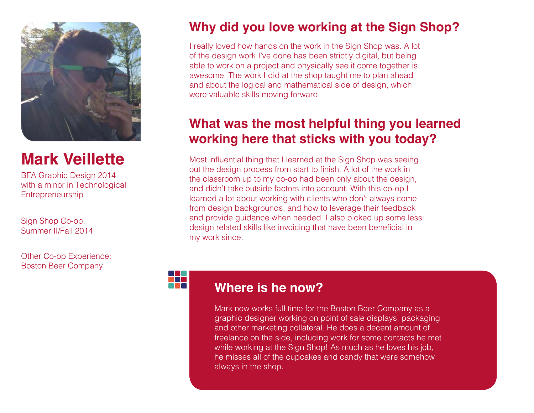

## **Mark Veillette**

BFA Graphic Design 2014 with a minor in Technological **Entrepreneurship** 

Sign Shop Co-op: Summer II/Fall 2014

Other Co-op Experience: Boston Beer Company

## **Why did you love working at the Sign Shop?**

I really loved how hands on the work in the Sign Shop was. A lot of the design work I've done has been strictly digital, but being able to work on a project and physically see it come together is awesome. The work I did at the shop taught me to plan ahead and about the logical and mathematical side of design, which were valuable skills moving forward.

## **What was the most helpful thing you learned working here that sticks with you today?**

Most influential thing that I learned at the Sign Shop was seeing out the design process from start to finish. A lot of the work in the classroom up to my co-op had been only about the design, and didn't take outside factors into account. With this co-op I learned a lot about working with clients who don't always come from design backgrounds, and how to leverage their feedback and provide guidance when needed. I also picked up some less design related skills like invoicing that have been beneficial in my work since.

#### **Where is he now?**

Mark now works full time for the Boston Beer Company as a graphic designer working on point of sale displays, packaging and other marketing collateral. He does a decent amount of freelance on the side, including work for some contacts he met while working at the Sign Shop! As much as he loves his job, he misses all of the cupcakes and candy that were somehow always in the shop.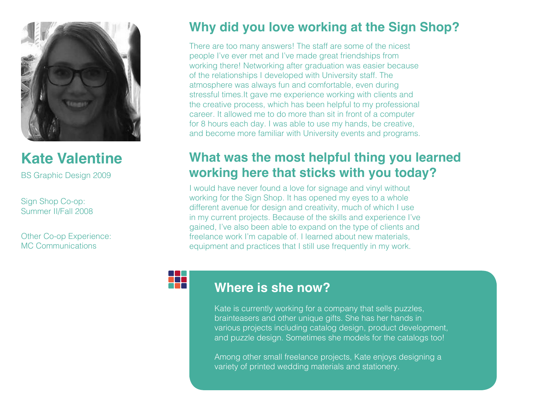

**Kate Valentine**

BS Graphic Design 2009

Sign Shop Co-op: Summer II/Fall 2008

Other Co-op Experience: MC Communications

## **Why did you love working at the Sign Shop?**

There are too many answers! The staff are some of the nicest people I've ever met and I've made great friendships from working there! Networking after graduation was easier because of the relationships I developed with University staff. The atmosphere was always fun and comfortable, even during stressful times.It gave me experience working with clients and the creative process, which has been helpful to my professional career. It allowed me to do more than sit in front of a computer for 8 hours each day. I was able to use my hands, be creative, and become more familiar with University events and programs.

## **What was the most helpful thing you learned working here that sticks with you today?**

I would have never found a love for signage and vinyl without working for the Sign Shop. It has opened my eyes to a whole different avenue for design and creativity, much of which I use in my current projects. Because of the skills and experience I've gained, I've also been able to expand on the type of clients and freelance work I'm capable of. I learned about new materials, equipment and practices that I still use frequently in my work.

#### **Where is she now?**

Kate is currently working for a company that sells puzzles, brainteasers and other unique gifts. She has her hands in various projects including catalog design, product development, and puzzle design. Sometimes she models for the catalogs too!

Among other small freelance projects, Kate enjoys designing a variety of printed wedding materials and stationery.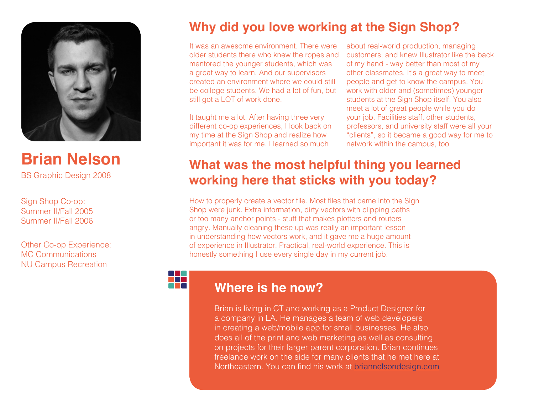

**Brian Nelson** BS Graphic Design 2008

Sign Shop Co-op: Summer II/Fall 2005 Summer II/Fall 2006

Other Co-op Experience: MC Communications NU Campus Recreation

## **Why did you love working at the Sign Shop?**

It was an awesome environment. There were older students there who knew the ropes and mentored the younger students, which was a great way to learn. And our supervisors created an environment where we could still be college students. We had a lot of fun, but still got a LOT of work done.

It taught me a lot. After having three very different co-op experiences, I look back on my time at the Sign Shop and realize how important it was for me. I learned so much

about real-world production, managing customers, and knew Illustrator like the back of my hand - way better than most of my other classmates. It's a great way to meet people and get to know the campus. You work with older and (sometimes) younger students at the Sign Shop itself. You also meet a lot of great people while you do your job. Facilities staff, other students, professors, and university staff were all your "clients", so it became a good way for me to network within the campus, too.

## **What was the most helpful thing you learned working here that sticks with you today?**

How to properly create a vector file. Most files that came into the Sign Shop were junk. Extra information, dirty vectors with clipping paths or too many anchor points - stuff that makes plotters and routers angry. Manually cleaning these up was really an important lesson in understanding how vectors work, and it gave me a huge amount of experience in Illustrator. Practical, real-world experience. This is honestly something I use every single day in my current job.

#### **Where is he now?**

m

Brian is living in CT and working as a Product Designer for a company in LA. He manages a team of web developers in creating a web/mobile app for small businesses. He also does all of the print and web marketing as well as consulting on projects for their larger parent corporation. Brian continues freelance work on the side for many clients that he met here at Northeastern. You can find his work at [briannelsondesign.com](http://www.briannelsondesign.com)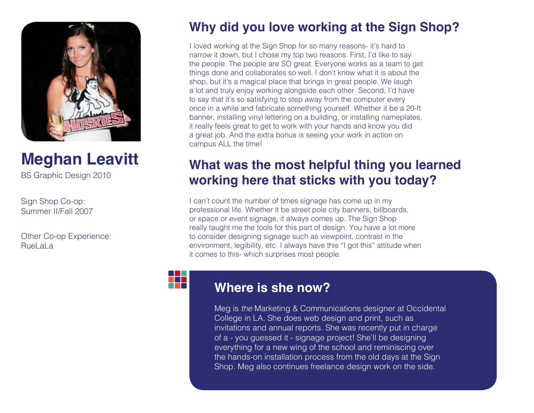

## **Meghan Leavitt**

BS Graphic Design 2010

Sign Shop Co-op: Summer II/Fall 2007

Other Co-op Experience: Ruel al a

## **Why did you love working at the Sign Shop?**

I loved working at the Sign Shop for so many reasons- it's hard to narrow it down, but I chose my top two reasons. First, I'd like to say the people. The people are SO great. Everyone works as a team to get things done and collaborates so well. I don't know what it is about the shop, but it's a magical place that brings in great people. We laugh a lot and truly enjoy working alongside each other. Second, I'd have to say that it's so satisfying to step away from the computer every once in a while and fabricate something yourself. Whether it be a 20-ft banner, installing vinyl lettering on a building, or installing nameplates, it really feels great to get to work with your hands and know you did a great job. And the extra bonus is seeing your work in action on campus ALL the time!

## **What was the most helpful thing you learned working here that sticks with you today?**

I can't count the number of times signage has come up in my professional life. Whether it be street pole city banners, billboards, or space or event signage, it always comes up. The Sign Shop really taught me the tools for this part of design. You have a lot more to consider designing signage such as viewpoint, contrast in the environment, legibility, etc. I always have this "I got this" attitude when it comes to this- which surprises most people.

#### **Where is she now?**

Meg is *the* Marketing & Communications designer at Occidental College in LA. She does web design and print, such as invitations and annual reports. She was recently put in charge of a - you guessed it - signage project! She'll be designing everything for a new wing of the school and reminiscing over the hands-on installation process from the old days at the Sign Shop. Meg also continues freelance design work on the side.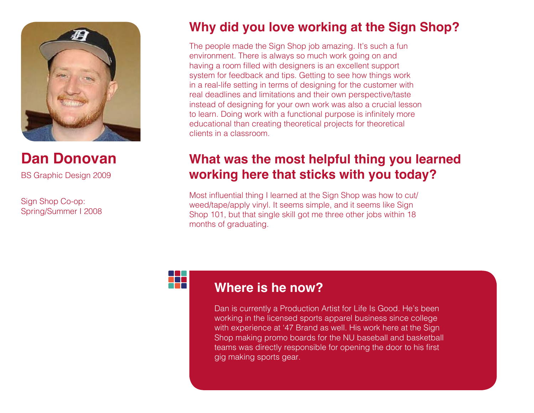

**Dan Donovan** BS Graphic Design 2009

Sign Shop Co-op: Spring/Summer I 2008

## **Why did you love working at the Sign Shop?**

The people made the Sign Shop job amazing. It's such a fun environment. There is always so much work going on and having a room filled with designers is an excellent support system for feedback and tips. Getting to see how things work in a real-life setting in terms of designing for the customer with real deadlines and limitations and their own perspective/taste instead of designing for your own work was also a crucial lesson to learn. Doing work with a functional purpose is infinitely more educational than creating theoretical projects for theoretical clients in a classroom.

## **What was the most helpful thing you learned working here that sticks with you today?**

Most influential thing I learned at the Sign Shop was how to cut/ weed/tape/apply vinyl. It seems simple, and it seems like Sign Shop 101, but that single skill got me three other jobs within 18 months of graduating.

#### **Where is he now?**

Dan is currently a Production Artist for Life Is Good. He's been working in the licensed sports apparel business since college with experience at '47 Brand as well. His work here at the Sign Shop making promo boards for the NU baseball and basketball teams was directly responsible for opening the door to his first gig making sports gear.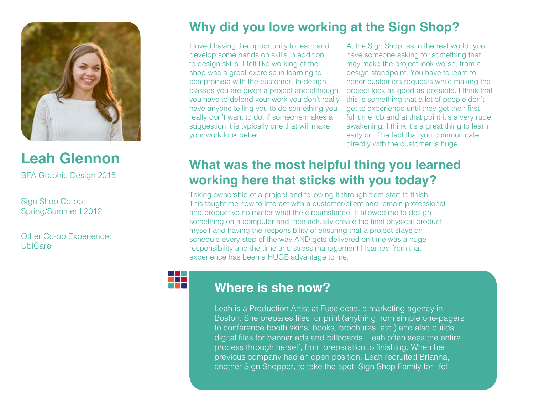

**Leah Glennon** BFA Graphic Design 2015

Sign Shop Co-op: Spring/Summer I 2012

Other Co-op Experience: **UbiCare** 

## **Why did you love working at the Sign Shop?**

I loved having the opportunity to learn and develop some hands on skills in addition to design skills. I felt like working at the shop was a great exercise in learning to compromise with the customer. In design classes you are given a project and although you have to defend your work you don't really have anyone telling you to do something you really don't want to do, if someone makes a suggestion it is typically one that will make your work look better.

At the Sign Shop, as in the real world, you have someone asking for something that may make the project look worse, from a design standpoint. You have to learn to honor customers requests while making the project look as good as possible. I think that this is something that a lot of people don't get to experience until they get their first full time job and at that point it's a very rude awakening, I think it's a great thing to learn early on. The fact that you communicate directly with the customer is huge!

## **What was the most helpful thing you learned working here that sticks with you today?**

Taking ownership of a project and following it through from start to finish. This taught me how to interact with a customer/client and remain professional and productive no matter what the circumstance. It allowed me to design something on a computer and then actually create the final physical product myself and having the responsibility of ensuring that a project stays on schedule every step of the way AND gets delivered on time was a huge responsibility and the time and stress management I learned from that experience has been a HUGE advantage to me.

#### **Where is she now?**

EFR

Leah is a Production Artist at Fuseideas*,* a marketing agency in Boston. She prepares files for print (anything from simple one-pagers to conference booth skins, books, brochures, etc.) and also builds digital files for banner ads and billboards. Leah often sees the entire process through herself, from preparation to finishing. When her previous company had an open position, Leah recruited Brianna, another Sign Shopper, to take the spot. Sign Shop Family for life!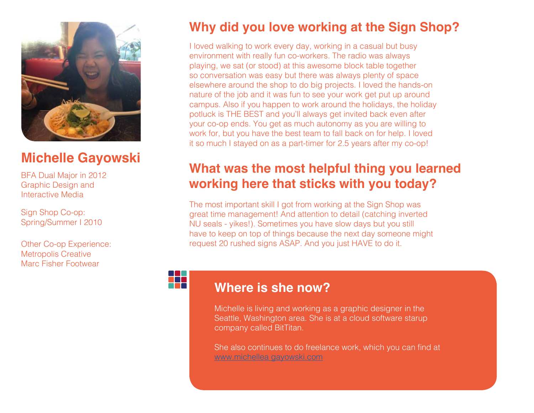

## **Michelle Gayowski**

BFA Dual Major in 2012 Graphic Design and Interactive Media

Sign Shop Co-op: Spring/Summer I 2010

Other Co-op Experience: Metropolis Creative Marc Fisher Footwear

## **Why did you love working at the Sign Shop?**

I loved walking to work every day, working in a casual but busy environment with really fun co-workers. The radio was always playing, we sat (or stood) at this awesome block table together so conversation was easy but there was always plenty of space elsewhere around the shop to do big projects. I loved the hands-on nature of the job and it was fun to see your work get put up around campus. Also if you happen to work around the holidays, the holiday potluck is THE BEST and you'll always get invited back even after your co-op ends. You get as much autonomy as you are willing to work for, but you have the best team to fall back on for help. I loved it so much I stayed on as a part-timer for 2.5 years after my co-op!

### **What was the most helpful thing you learned working here that sticks with you today?**

The most important skill I got from working at the Sign Shop was great time management! And attention to detail (catching inverted NU seals - yikes!). Sometimes you have slow days but you still have to keep on top of things because the next day someone might request 20 rushed signs ASAP. And you just HAVE to do it.

#### **Where is she now?**

Michelle is living and working as a graphic designer in the Seattle, Washington area. She is at a cloud software starup company called BitTitan.

She also continues to do freelance work, which you can find at [www.michellea gayowski.com](http://www.michelleagayowski.com)